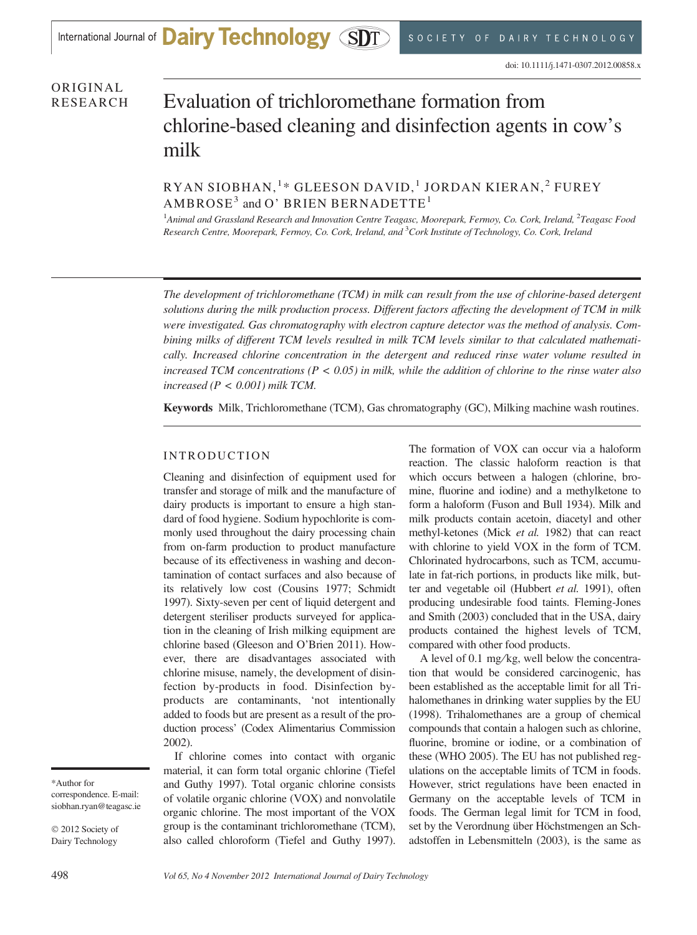# ORIGINAL

# RESEARCH Evaluation of trichloromethane formation from chlorine-based cleaning and disinfection agents in cow's milk

RYAN SIOBHAN, $^1\ast$  GLEESON DAVID, $^1$  JORDAN KIERAN, $^2$  FUREY  $AMBROSE<sup>3</sup>$  and O' BRIEN BERNADETTE<sup>1</sup>

<sup>1</sup>Animal and Grassland Research and Innovation Centre Teagasc, Moorepark, Fermoy, Co. Cork, Ireland, <sup>2</sup>Teagasc Food Research Centre, Moorepark, Fermoy, Co. Cork, Ireland, and <sup>3</sup>Cork Institute of Technology, Co. Cork, Ireland

The development of trichloromethane (TCM) in milk can result from the use of chlorine-based detergent solutions during the milk production process. Different factors affecting the development of TCM in milk were investigated. Gas chromatography with electron capture detector was the method of analysis. Combining milks of different TCM levels resulted in milk TCM levels similar to that calculated mathematically. Increased chlorine concentration in the detergent and reduced rinse water volume resulted in increased TCM concentrations ( $P < 0.05$ ) in milk, while the addition of chlorine to the rinse water also increased ( $P < 0.001$ ) milk TCM.

Keywords Milk, Trichloromethane (TCM), Gas chromatography (GC), Milking machine wash routines.

#### INTRODUCTION

Cleaning and disinfection of equipment used for transfer and storage of milk and the manufacture of dairy products is important to ensure a high standard of food hygiene. Sodium hypochlorite is commonly used throughout the dairy processing chain from on-farm production to product manufacture because of its effectiveness in washing and decontamination of contact surfaces and also because of its relatively low cost (Cousins 1977; Schmidt 1997). Sixty-seven per cent of liquid detergent and detergent steriliser products surveyed for application in the cleaning of Irish milking equipment are chlorine based (Gleeson and O'Brien 2011). However, there are disadvantages associated with chlorine misuse, namely, the development of disinfection by-products in food. Disinfection byproducts are contaminants, 'not intentionally added to foods but are present as a result of the production process' (Codex Alimentarius Commission 2002).

If chlorine comes into contact with organic material, it can form total organic chlorine (Tiefel and Guthy 1997). Total organic chlorine consists of volatile organic chlorine (VOX) and nonvolatile organic chlorine. The most important of the VOX group is the contaminant trichloromethane (TCM), also called chloroform (Tiefel and Guthy 1997).

The formation of VOX can occur via a haloform reaction. The classic haloform reaction is that which occurs between a halogen (chlorine, bromine, fluorine and iodine) and a methylketone to form a haloform (Fuson and Bull 1934). Milk and milk products contain acetoin, diacetyl and other methyl-ketones (Mick et al. 1982) that can react with chlorine to yield VOX in the form of TCM. Chlorinated hydrocarbons, such as TCM, accumulate in fat-rich portions, in products like milk, butter and vegetable oil (Hubbert et al. 1991), often producing undesirable food taints. Fleming-Jones and Smith (2003) concluded that in the USA, dairy products contained the highest levels of TCM, compared with other food products.

A level of 0.1 mg⁄ kg, well below the concentration that would be considered carcinogenic, has been established as the acceptable limit for all Trihalomethanes in drinking water supplies by the EU (1998). Trihalomethanes are a group of chemical compounds that contain a halogen such as chlorine, fluorine, bromine or iodine, or a combination of these (WHO 2005). The EU has not published regulations on the acceptable limits of TCM in foods. However, strict regulations have been enacted in Germany on the acceptable levels of TCM in foods. The German legal limit for TCM in food, set by the Verordnung über Höchstmengen an Schadstoffen in Lebensmitteln (2003), is the same as

© 2012 Society of Dairy Technology

<sup>\*</sup>Author for correspondence. E-mail: siobhan.ryan@teagasc.ie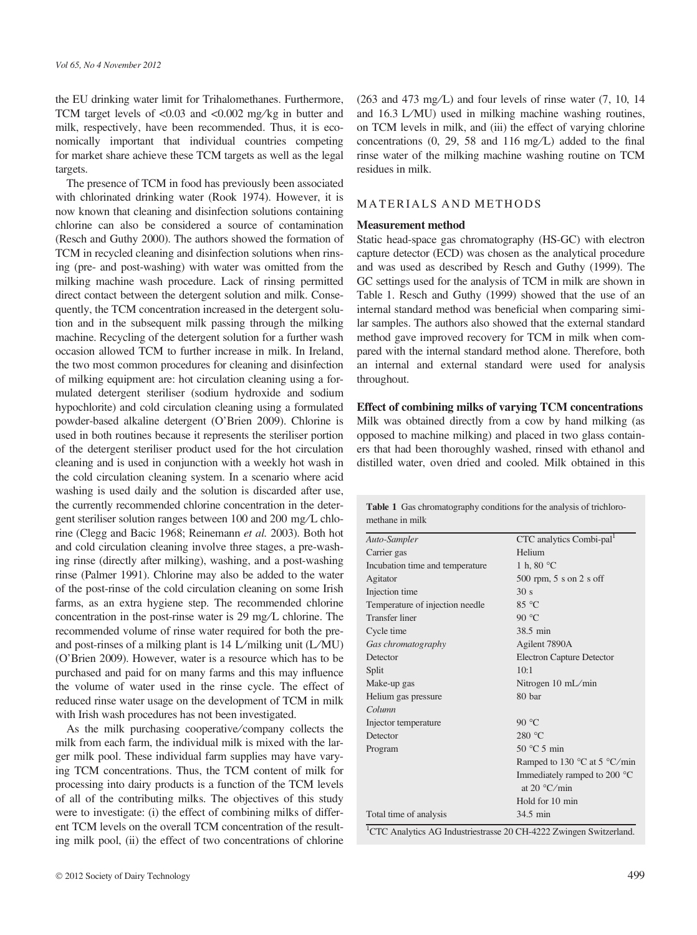the EU drinking water limit for Trihalomethanes. Furthermore, TCM target levels of  $< 0.03$  and  $< 0.002$  mg/kg in butter and milk, respectively, have been recommended. Thus, it is economically important that individual countries competing for market share achieve these TCM targets as well as the legal targets.

The presence of TCM in food has previously been associated with chlorinated drinking water (Rook 1974). However, it is now known that cleaning and disinfection solutions containing chlorine can also be considered a source of contamination (Resch and Guthy 2000). The authors showed the formation of TCM in recycled cleaning and disinfection solutions when rinsing (pre- and post-washing) with water was omitted from the milking machine wash procedure. Lack of rinsing permitted direct contact between the detergent solution and milk. Consequently, the TCM concentration increased in the detergent solution and in the subsequent milk passing through the milking machine. Recycling of the detergent solution for a further wash occasion allowed TCM to further increase in milk. In Ireland, the two most common procedures for cleaning and disinfection of milking equipment are: hot circulation cleaning using a formulated detergent steriliser (sodium hydroxide and sodium hypochlorite) and cold circulation cleaning using a formulated powder-based alkaline detergent (O'Brien 2009). Chlorine is used in both routines because it represents the steriliser portion of the detergent steriliser product used for the hot circulation cleaning and is used in conjunction with a weekly hot wash in the cold circulation cleaning system. In a scenario where acid washing is used daily and the solution is discarded after use, the currently recommended chlorine concentration in the detergent steriliser solution ranges between 100 and 200 mg⁄L chlorine (Clegg and Bacic 1968; Reinemann et al. 2003). Both hot and cold circulation cleaning involve three stages, a pre-washing rinse (directly after milking), washing, and a post-washing rinse (Palmer 1991). Chlorine may also be added to the water of the post-rinse of the cold circulation cleaning on some Irish farms, as an extra hygiene step. The recommended chlorine concentration in the post-rinse water is  $29 \text{ mg/L}$  chlorine. The recommended volume of rinse water required for both the preand post-rinses of a milking plant is 14 L⁄milking unit (L⁄MU) (O'Brien 2009). However, water is a resource which has to be purchased and paid for on many farms and this may influence the volume of water used in the rinse cycle. The effect of reduced rinse water usage on the development of TCM in milk with Irish wash procedures has not been investigated.

As the milk purchasing cooperative/company collects the milk from each farm, the individual milk is mixed with the larger milk pool. These individual farm supplies may have varying TCM concentrations. Thus, the TCM content of milk for processing into dairy products is a function of the TCM levels of all of the contributing milks. The objectives of this study were to investigate: (i) the effect of combining milks of different TCM levels on the overall TCM concentration of the resulting milk pool, (ii) the effect of two concentrations of chlorine

 $(263 \text{ and } 473 \text{ mg/L})$  and four levels of rinse water  $(7, 10, 14)$ and 16.3 L⁄MU) used in milking machine washing routines, on TCM levels in milk, and (iii) the effect of varying chlorine concentrations  $(0, 29, 58, 116, \text{mg/L})$  added to the final rinse water of the milking machine washing routine on TCM residues in milk.

# MATERIALS AND METHODS

#### Measurement method

Static head-space gas chromatography (HS-GC) with electron capture detector (ECD) was chosen as the analytical procedure and was used as described by Resch and Guthy (1999). The GC settings used for the analysis of TCM in milk are shown in Table 1. Resch and Guthy (1999) showed that the use of an internal standard method was beneficial when comparing similar samples. The authors also showed that the external standard method gave improved recovery for TCM in milk when compared with the internal standard method alone. Therefore, both an internal and external standard were used for analysis throughout.

Effect of combining milks of varying TCM concentrations Milk was obtained directly from a cow by hand milking (as opposed to machine milking) and placed in two glass containers that had been thoroughly washed, rinsed with ethanol and distilled water, oven dried and cooled. Milk obtained in this

Table 1 Gas chromatography conditions for the analysis of trichloromethane in milk

| Auto-Sampler                    | CTC analytics Combi-pal <sup>1</sup>           |
|---------------------------------|------------------------------------------------|
| Carrier gas                     | Helium                                         |
| Incubation time and temperature | 1 h, 80 $\degree$ C                            |
| Agitator                        | $500$ rpm, $5 \text{ s}$ on $2 \text{ s}$ off  |
| Injection time                  | 30 <sub>s</sub>                                |
| Temperature of injection needle | 85 °C                                          |
| <b>Transfer liner</b>           | 90 °C                                          |
| Cycle time                      | 38.5 min                                       |
| Gas chromatography              | Agilent 7890A                                  |
| Detector                        | <b>Electron Capture Detector</b>               |
| Split                           | 10:1                                           |
| Make-up gas                     | Nitrogen 10 mL/min                             |
| Helium gas pressure             | 80 bar                                         |
| Column                          |                                                |
| Injector temperature            | 90 °C                                          |
| Detector                        | 280 °C                                         |
| Program                         | $50 °C$ 5 min                                  |
|                                 | Ramped to 130 $\degree$ C at 5 $\degree$ C/min |
|                                 | Immediately ramped to 200 $\degree$ C          |
|                                 | at $20 °C/min$                                 |
|                                 | Hold for 10 min                                |
| Total time of analysis          | 34.5 min                                       |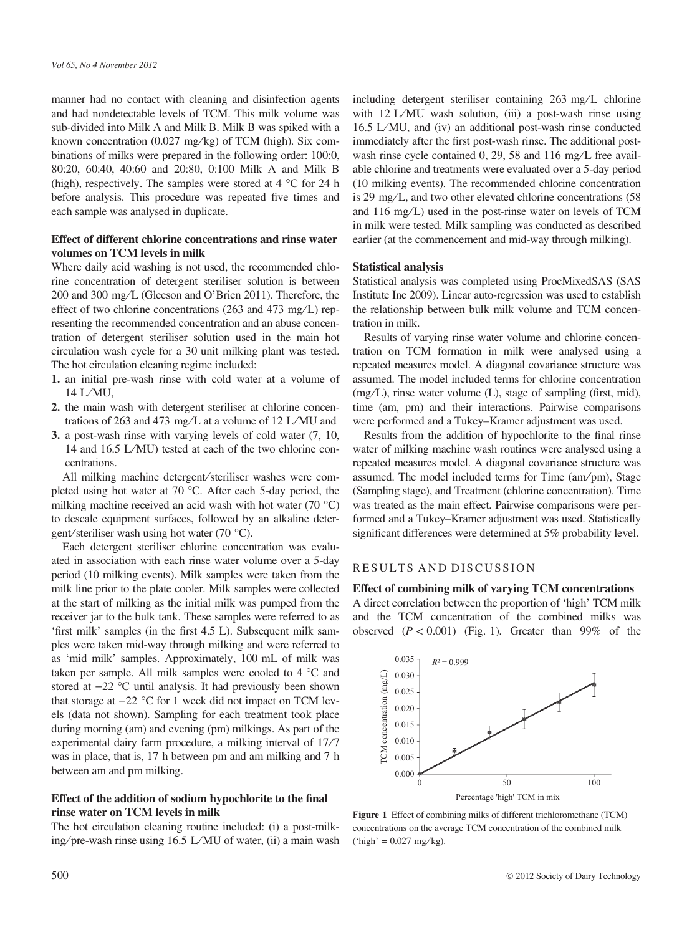manner had no contact with cleaning and disinfection agents and had nondetectable levels of TCM. This milk volume was sub-divided into Milk A and Milk B. Milk B was spiked with a known concentration (0.027 mg/kg) of TCM (high). Six combinations of milks were prepared in the following order: 100:0, 80:20, 60:40, 40:60 and 20:80, 0:100 Milk A and Milk B (high), respectively. The samples were stored at  $4^{\circ}$ C for 24 h before analysis. This procedure was repeated five times and each sample was analysed in duplicate.

# Effect of different chlorine concentrations and rinse water volumes on TCM levels in milk

Where daily acid washing is not used, the recommended chlorine concentration of detergent steriliser solution is between 200 and 300 mg/L (Gleeson and O'Brien 2011). Therefore, the effect of two chlorine concentrations (263 and 473 mg/L) representing the recommended concentration and an abuse concentration of detergent steriliser solution used in the main hot circulation wash cycle for a 30 unit milking plant was tested. The hot circulation cleaning regime included:

- 1. an initial pre-wash rinse with cold water at a volume of 14 L⁄MU,
- 2. the main wash with detergent steriliser at chlorine concentrations of 263 and 473 mg/L at a volume of 12 L/MU and
- 3. a post-wash rinse with varying levels of cold water (7, 10, 14 and 16.5 L⁄MU) tested at each of the two chlorine concentrations.

All milking machine detergent⁄steriliser washes were completed using hot water at 70  $^{\circ}$ C. After each 5-day period, the milking machine received an acid wash with hot water (70  $^{\circ}$ C) to descale equipment surfaces, followed by an alkaline detergent/steriliser wash using hot water  $(70 \degree C)$ .

Each detergent steriliser chlorine concentration was evaluated in association with each rinse water volume over a 5-day period (10 milking events). Milk samples were taken from the milk line prior to the plate cooler. Milk samples were collected at the start of milking as the initial milk was pumped from the receiver jar to the bulk tank. These samples were referred to as 'first milk' samples (in the first 4.5 L). Subsequent milk samples were taken mid-way through milking and were referred to as 'mid milk' samples. Approximately, 100 mL of milk was taken per sample. All milk samples were cooled to  $4^{\circ}$ C and stored at  $-22$  °C until analysis. It had previously been shown that storage at  $-22$  °C for 1 week did not impact on TCM levels (data not shown). Sampling for each treatment took place during morning (am) and evening (pm) milkings. As part of the experimental dairy farm procedure, a milking interval of 17/7 was in place, that is, 17 h between pm and am milking and 7 h between am and pm milking.

# Effect of the addition of sodium hypochlorite to the final rinse water on TCM levels in milk

The hot circulation cleaning routine included: (i) a post-milking/pre-wash rinse using 16.5 L/MU of water, (ii) a main wash

including detergent steriliser containing  $263 \text{ mg/L}$  chlorine with 12 L/MU wash solution, (iii) a post-wash rinse using 16.5 L⁄MU, and (iv) an additional post-wash rinse conducted immediately after the first post-wash rinse. The additional postwash rinse cycle contained 0, 29, 58 and 116 mg/L free available chlorine and treatments were evaluated over a 5-day period (10 milking events). The recommended chlorine concentration is 29 mg/L, and two other elevated chlorine concentrations  $(58$ and 116 mg⁄L) used in the post-rinse water on levels of TCM in milk were tested. Milk sampling was conducted as described earlier (at the commencement and mid-way through milking).

#### Statistical analysis

Statistical analysis was completed using ProcMixedSAS (SAS Institute Inc 2009). Linear auto-regression was used to establish the relationship between bulk milk volume and TCM concentration in milk.

Results of varying rinse water volume and chlorine concentration on TCM formation in milk were analysed using a repeated measures model. A diagonal covariance structure was assumed. The model included terms for chlorine concentration  $(mg/L)$ , rinse water volume (L), stage of sampling (first, mid), time (am, pm) and their interactions. Pairwise comparisons were performed and a Tukey–Kramer adjustment was used.

Results from the addition of hypochlorite to the final rinse water of milking machine wash routines were analysed using a repeated measures model. A diagonal covariance structure was assumed. The model included terms for Time (am⁄ pm), Stage (Sampling stage), and Treatment (chlorine concentration). Time was treated as the main effect. Pairwise comparisons were performed and a Tukey–Kramer adjustment was used. Statistically significant differences were determined at 5% probability level.

# RESULTS AND DISCUSSION

#### Effect of combining milk of varying TCM concentrations

A direct correlation between the proportion of 'high' TCM milk and the TCM concentration of the combined milks was observed  $(P < 0.001)$  (Fig. 1). Greater than 99% of the



Figure 1 Effect of combining milks of different trichloromethane (TCM) concentrations on the average TCM concentration of the combined milk  $({\text{high}}' = 0.027 \text{ mg/kg})$ .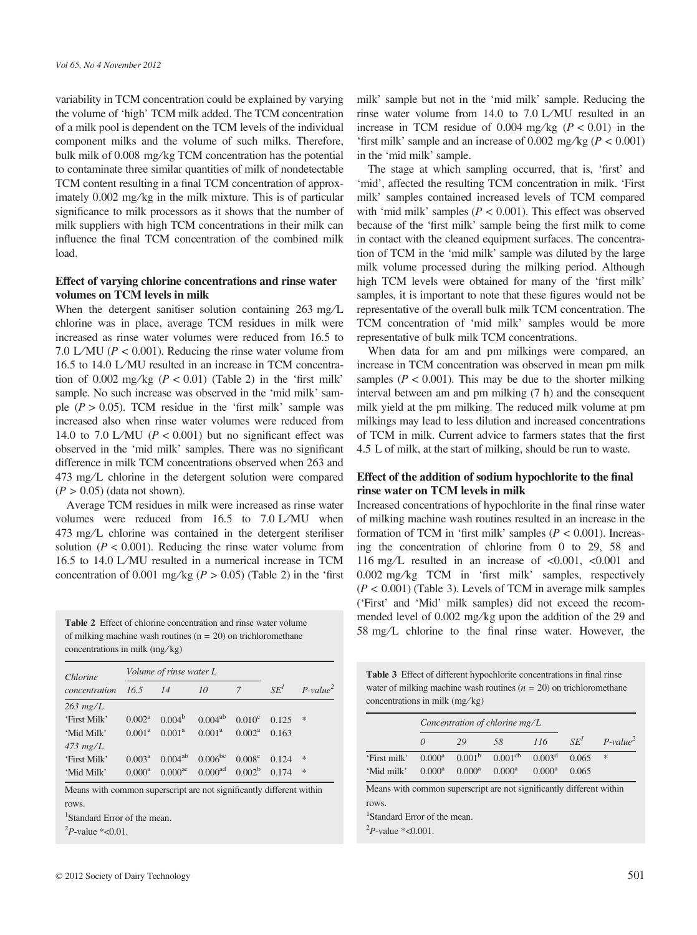variability in TCM concentration could be explained by varying the volume of 'high' TCM milk added. The TCM concentration of a milk pool is dependent on the TCM levels of the individual component milks and the volume of such milks. Therefore, bulk milk of 0.008 mg⁄ kg TCM concentration has the potential to contaminate three similar quantities of milk of nondetectable TCM content resulting in a final TCM concentration of approximately 0.002 mg/kg in the milk mixture. This is of particular significance to milk processors as it shows that the number of milk suppliers with high TCM concentrations in their milk can influence the final TCM concentration of the combined milk load.

# Effect of varying chlorine concentrations and rinse water volumes on TCM levels in milk

When the detergent sanitiser solution containing 263 mg/L chlorine was in place, average TCM residues in milk were increased as rinse water volumes were reduced from 16.5 to 7.0 L/MU ( $P < 0.001$ ). Reducing the rinse water volume from 16.5 to 14.0 L⁄MU resulted in an increase in TCM concentration of 0.002 mg/kg  $(P < 0.01)$  (Table 2) in the 'first milk' sample. No such increase was observed in the 'mid milk' sample  $(P > 0.05)$ . TCM residue in the 'first milk' sample was increased also when rinse water volumes were reduced from 14.0 to 7.0 L/MU ( $P < 0.001$ ) but no significant effect was observed in the 'mid milk' samples. There was no significant difference in milk TCM concentrations observed when 263 and 473 mg/L chlorine in the detergent solution were compared  $(P > 0.05)$  (data not shown).

Average TCM residues in milk were increased as rinse water volumes were reduced from 16.5 to 7.0 L⁄MU when 473 mg/L chlorine was contained in the detergent steriliser solution ( $P < 0.001$ ). Reducing the rinse water volume from 16.5 to 14.0 L⁄MU resulted in a numerical increase in TCM concentration of 0.001 mg/kg ( $P > 0.05$ ) (Table 2) in the 'first

Table 2 Effect of chlorine concentration and rinse water volume of milking machine wash routines  $(n = 20)$  on trichloromethane concentrations in milk (mg/kg)

| Chlorine<br>concentration                                            | Volume of rinse water L |                     |                        |                 |        |             |
|----------------------------------------------------------------------|-------------------------|---------------------|------------------------|-----------------|--------|-------------|
|                                                                      | 16.5                    | 14                  | 10                     | 7               | $SE^I$ | $P-value^2$ |
| $263$ mg/L                                                           |                         |                     |                        |                 |        |             |
| 'First Milk'                                                         | $0.002^{\rm a}$         | 0.004 <sup>b</sup>  | $0.004^{ab}$ $0.010^c$ |                 | 0.125  | $\ast$      |
| 'Mid Milk'                                                           | 0.001 <sup>a</sup>      | $0.001^{\rm a}$     | $0.001^{\rm a}$        | $0.002^a$       | 0.163  |             |
| $473$ mg/L                                                           |                         |                     |                        |                 |        |             |
| 'First Milk'                                                         | 0.003 <sup>a</sup>      | $0.004^{ab}$        | $0.006^{bc}$           | $0.008^{\circ}$ | 0.124  | $\ast$      |
| 'Mid Milk'                                                           | $0.000^a$               | 0.000 <sup>ac</sup> | $0.000^{ad}$ $0.002^b$ |                 | 0.174  | $\ast$      |
| Means with common superscript are not significantly different within |                         |                     |                        |                 |        |             |

rows.

1 Standard Error of the mean.

 $^{2}P$ -value \*<0.01.

The stage at which sampling occurred, that is, 'first' and 'mid', affected the resulting TCM concentration in milk. 'First milk' samples contained increased levels of TCM compared with 'mid milk' samples ( $P < 0.001$ ). This effect was observed because of the 'first milk' sample being the first milk to come in contact with the cleaned equipment surfaces. The concentration of TCM in the 'mid milk' sample was diluted by the large milk volume processed during the milking period. Although high TCM levels were obtained for many of the 'first milk' samples, it is important to note that these figures would not be representative of the overall bulk milk TCM concentration. The TCM concentration of 'mid milk' samples would be more representative of bulk milk TCM concentrations.

When data for am and pm milkings were compared, an increase in TCM concentration was observed in mean pm milk samples ( $P < 0.001$ ). This may be due to the shorter milking interval between am and pm milking (7 h) and the consequent milk yield at the pm milking. The reduced milk volume at pm milkings may lead to less dilution and increased concentrations of TCM in milk. Current advice to farmers states that the first 4.5 L of milk, at the start of milking, should be run to waste.

# Effect of the addition of sodium hypochlorite to the final rinse water on TCM levels in milk

Increased concentrations of hypochlorite in the final rinse water of milking machine wash routines resulted in an increase in the formation of TCM in 'first milk' samples ( $P < 0.001$ ). Increasing the concentration of chlorine from 0 to 29, 58 and 116 mg/L resulted in an increase of  $\leq 0.001$ ,  $\leq 0.001$  and  $0.002$  mg/kg TCM in 'first milk' samples, respectively  $(P < 0.001)$  (Table 3). Levels of TCM in average milk samples ('First' and 'Mid' milk samples) did not exceed the recommended level of 0.002 mg/kg upon the addition of the 29 and 58 mg/L chlorine to the final rinse water. However, the

Table 3 Effect of different hypochlorite concentrations in final rinse water of milking machine wash routines ( $n = 20$ ) on trichloromethane concentrations in milk  $(mg/kg)$ 

|                                                                               |          | Concentration of chlorine $mg/L$ |                                            |                 |                 |             |
|-------------------------------------------------------------------------------|----------|----------------------------------|--------------------------------------------|-----------------|-----------------|-------------|
|                                                                               | $\theta$ | 29                               | .58                                        | 116             | SE <sup>I</sup> | $P-value^2$ |
| 'First milk'<br>'Mid milk'                                                    |          | $0.000^a$ $0.000^a$ $0.000^a$    | $0.000^a$ $0.001^b$ $0.001^{cb}$ $0.003^d$ | $0.000^{\rm a}$ | 0.065<br>0.065  | $*$         |
| Means with common superscript are not significantly different within<br>rows. |          |                                  |                                            |                 |                 |             |

1 Standard Error of the mean.

 $^{2}P$ -value \*<0.001.